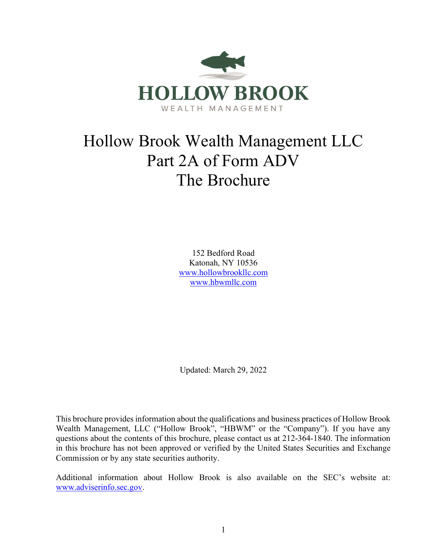

# Hollow Brook Wealth Management LLC Part 2A of Form ADV The Brochure

152 Bedford Road Katonah, NY 10536 www.hollowbrookllc.com www.hbwmllc.com

Updated: March 29, 2022

This brochure provides information about the qualifications and business practices of Hollow Brook Wealth Management, LLC ("Hollow Brook", "HBWM" or the "Company"). If you have any questions about the contents of this brochure, please contact us at 212-364-1840. The information in this brochure has not been approved or verified by the United States Securities and Exchange Commission or by any state securities authority.

Additional information about Hollow Brook is also available on the SEC's website at: www.adviserinfo.sec.gov.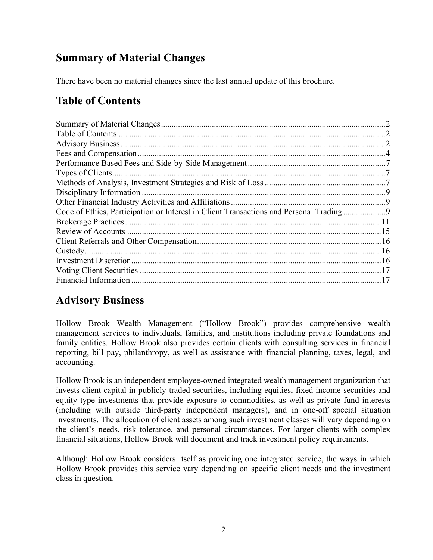# Summary of Material Changes

There have been no material changes since the last annual update of this brochure.

# Table of Contents

| Code of Ethics, Participation or Interest in Client Transactions and Personal Trading |  |
|---------------------------------------------------------------------------------------|--|
|                                                                                       |  |
|                                                                                       |  |
|                                                                                       |  |
|                                                                                       |  |
|                                                                                       |  |
|                                                                                       |  |
|                                                                                       |  |

# Advisory Business

Hollow Brook Wealth Management ("Hollow Brook") provides comprehensive wealth management services to individuals, families, and institutions including private foundations and family entities. Hollow Brook also provides certain clients with consulting services in financial reporting, bill pay, philanthropy, as well as assistance with financial planning, taxes, legal, and accounting.

Hollow Brook is an independent employee-owned integrated wealth management organization that invests client capital in publicly-traded securities, including equities, fixed income securities and equity type investments that provide exposure to commodities, as well as private fund interests (including with outside third-party independent managers), and in one-off special situation investments. The allocation of client assets among such investment classes will vary depending on the client's needs, risk tolerance, and personal circumstances. For larger clients with complex financial situations, Hollow Brook will document and track investment policy requirements.

Although Hollow Brook considers itself as providing one integrated service, the ways in which Hollow Brook provides this service vary depending on specific client needs and the investment class in question.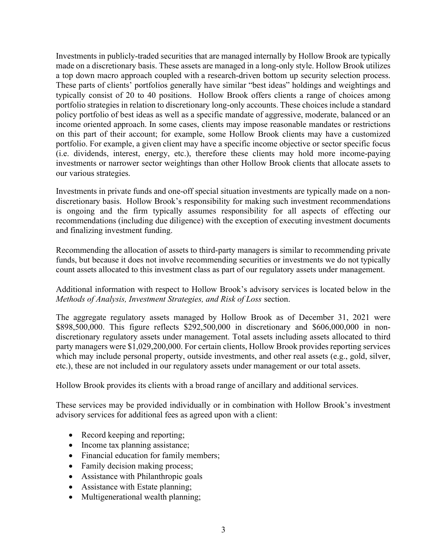Investments in publicly-traded securities that are managed internally by Hollow Brook are typically made on a discretionary basis. These assets are managed in a long-only style. Hollow Brook utilizes a top down macro approach coupled with a research-driven bottom up security selection process. These parts of clients' portfolios generally have similar "best ideas" holdings and weightings and typically consist of 20 to 40 positions. Hollow Brook offers clients a range of choices among portfolio strategies in relation to discretionary long-only accounts. These choices include a standard policy portfolio of best ideas as well as a specific mandate of aggressive, moderate, balanced or an income oriented approach. In some cases, clients may impose reasonable mandates or restrictions on this part of their account; for example, some Hollow Brook clients may have a customized portfolio. For example, a given client may have a specific income objective or sector specific focus (i.e. dividends, interest, energy, etc.), therefore these clients may hold more income-paying investments or narrower sector weightings than other Hollow Brook clients that allocate assets to our various strategies.

Investments in private funds and one-off special situation investments are typically made on a nondiscretionary basis. Hollow Brook's responsibility for making such investment recommendations is ongoing and the firm typically assumes responsibility for all aspects of effecting our recommendations (including due diligence) with the exception of executing investment documents and finalizing investment funding.

Recommending the allocation of assets to third-party managers is similar to recommending private funds, but because it does not involve recommending securities or investments we do not typically count assets allocated to this investment class as part of our regulatory assets under management.

#### Additional information with respect to Hollow Brook's advisory services is located below in the Methods of Analysis, Investment Strategies, and Risk of Loss section.

The aggregate regulatory assets managed by Hollow Brook as of December 31, 2021 were \$898,500,000. This figure reflects \$292,500,000 in discretionary and \$606,000,000 in nondiscretionary regulatory assets under management. Total assets including assets allocated to third party managers were \$1,029,200,000. For certain clients, Hollow Brook provides reporting services which may include personal property, outside investments, and other real assets (e.g., gold, silver, etc.), these are not included in our regulatory assets under management or our total assets.

Hollow Brook provides its clients with a broad range of ancillary and additional services.

These services may be provided individually or in combination with Hollow Brook's investment advisory services for additional fees as agreed upon with a client:

- Record keeping and reporting;
- Income tax planning assistance;
- Financial education for family members;
- Family decision making process;
- Assistance with Philanthropic goals
- Assistance with Estate planning;
- Multigenerational wealth planning;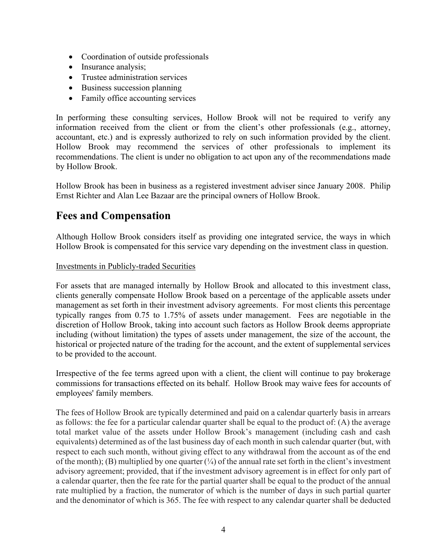- Coordination of outside professionals
- Insurance analysis;
- Trustee administration services
- Business succession planning
- Family office accounting services

In performing these consulting services, Hollow Brook will not be required to verify any information received from the client or from the client's other professionals (e.g., attorney, accountant, etc.) and is expressly authorized to rely on such information provided by the client. Hollow Brook may recommend the services of other professionals to implement its recommendations. The client is under no obligation to act upon any of the recommendations made by Hollow Brook.

Hollow Brook has been in business as a registered investment adviser since January 2008. Philip Ernst Richter and Alan Lee Bazaar are the principal owners of Hollow Brook.

# Fees and Compensation

Although Hollow Brook considers itself as providing one integrated service, the ways in which Hollow Brook is compensated for this service vary depending on the investment class in question.

### Investments in Publicly-traded Securities

For assets that are managed internally by Hollow Brook and allocated to this investment class, clients generally compensate Hollow Brook based on a percentage of the applicable assets under management as set forth in their investment advisory agreements. For most clients this percentage typically ranges from 0.75 to 1.75% of assets under management. Fees are negotiable in the discretion of Hollow Brook, taking into account such factors as Hollow Brook deems appropriate including (without limitation) the types of assets under management, the size of the account, the historical or projected nature of the trading for the account, and the extent of supplemental services to be provided to the account.

Irrespective of the fee terms agreed upon with a client, the client will continue to pay brokerage commissions for transactions effected on its behalf. Hollow Brook may waive fees for accounts of employees' family members.

The fees of Hollow Brook are typically determined and paid on a calendar quarterly basis in arrears as follows: the fee for a particular calendar quarter shall be equal to the product of: (A) the average total market value of the assets under Hollow Brook's management (including cash and cash equivalents) determined as of the last business day of each month in such calendar quarter (but, with respect to each such month, without giving effect to any withdrawal from the account as of the end of the month); (B) multiplied by one quarter  $(\frac{1}{4})$  of the annual rate set forth in the client's investment advisory agreement; provided, that if the investment advisory agreement is in effect for only part of a calendar quarter, then the fee rate for the partial quarter shall be equal to the product of the annual rate multiplied by a fraction, the numerator of which is the number of days in such partial quarter and the denominator of which is 365. The fee with respect to any calendar quarter shall be deducted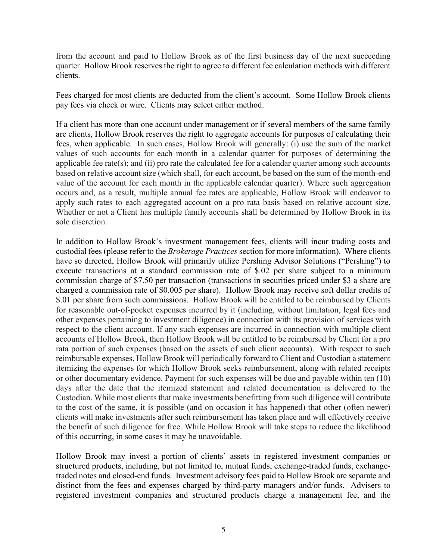from the account and paid to Hollow Brook as of the first business day of the next succeeding quarter. Hollow Brook reserves the right to agree to different fee calculation methods with different clients.

Fees charged for most clients are deducted from the client's account. Some Hollow Brook clients pay fees via check or wire. Clients may select either method.

If a client has more than one account under management or if several members of the same family are clients, Hollow Brook reserves the right to aggregate accounts for purposes of calculating their fees, when applicable. In such cases, Hollow Brook will generally: (i) use the sum of the market values of such accounts for each month in a calendar quarter for purposes of determining the applicable fee rate(s); and (ii) pro rate the calculated fee for a calendar quarter among such accounts based on relative account size (which shall, for each account, be based on the sum of the month-end value of the account for each month in the applicable calendar quarter). Where such aggregation occurs and, as a result, multiple annual fee rates are applicable, Hollow Brook will endeavor to apply such rates to each aggregated account on a pro rata basis based on relative account size. Whether or not a Client has multiple family accounts shall be determined by Hollow Brook in its sole discretion.

In addition to Hollow Brook's investment management fees, clients will incur trading costs and custodial fees (please refer to the *Brokerage Practices* section for more information). Where clients have so directed, Hollow Brook will primarily utilize Pershing Advisor Solutions ("Pershing") to execute transactions at a standard commission rate of \$.02 per share subject to a minimum commission charge of \$7.50 per transaction (transactions in securities priced under \$3 a share are charged a commission rate of \$0.005 per share). Hollow Brook may receive soft dollar credits of \$.01 per share from such commissions. Hollow Brook will be entitled to be reimbursed by Clients for reasonable out-of-pocket expenses incurred by it (including, without limitation, legal fees and other expenses pertaining to investment diligence) in connection with its provision of services with respect to the client account. If any such expenses are incurred in connection with multiple client accounts of Hollow Brook, then Hollow Brook will be entitled to be reimbursed by Client for a pro rata portion of such expenses (based on the assets of such client accounts). With respect to such reimbursable expenses, Hollow Brook will periodically forward to Client and Custodian a statement itemizing the expenses for which Hollow Brook seeks reimbursement, along with related receipts or other documentary evidence. Payment for such expenses will be due and payable within ten (10) days after the date that the itemized statement and related documentation is delivered to the Custodian. While most clients that make investments benefitting from such diligence will contribute to the cost of the same, it is possible (and on occasion it has happened) that other (often newer) clients will make investments after such reimbursement has taken place and will effectively receive the benefit of such diligence for free. While Hollow Brook will take steps to reduce the likelihood of this occurring, in some cases it may be unavoidable.

Hollow Brook may invest a portion of clients' assets in registered investment companies or structured products, including, but not limited to, mutual funds, exchange-traded funds, exchangetraded notes and closed-end funds. Investment advisory fees paid to Hollow Brook are separate and distinct from the fees and expenses charged by third-party managers and/or funds. Advisers to registered investment companies and structured products charge a management fee, and the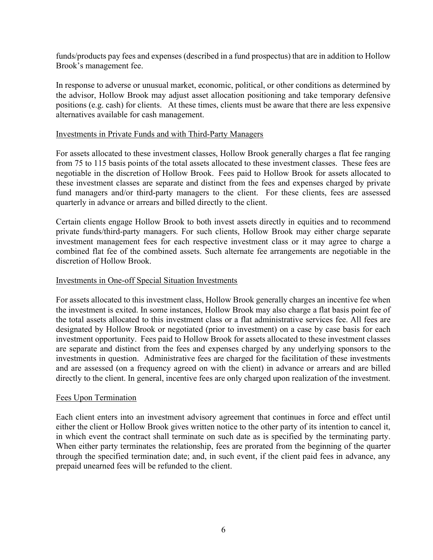funds/products pay fees and expenses (described in a fund prospectus) that are in addition to Hollow Brook's management fee.

In response to adverse or unusual market, economic, political, or other conditions as determined by the advisor, Hollow Brook may adjust asset allocation positioning and take temporary defensive positions (e.g. cash) for clients. At these times, clients must be aware that there are less expensive alternatives available for cash management.

#### Investments in Private Funds and with Third-Party Managers

For assets allocated to these investment classes, Hollow Brook generally charges a flat fee ranging from 75 to 115 basis points of the total assets allocated to these investment classes. These fees are negotiable in the discretion of Hollow Brook. Fees paid to Hollow Brook for assets allocated to these investment classes are separate and distinct from the fees and expenses charged by private fund managers and/or third-party managers to the client. For these clients, fees are assessed quarterly in advance or arrears and billed directly to the client.

Certain clients engage Hollow Brook to both invest assets directly in equities and to recommend private funds/third-party managers. For such clients, Hollow Brook may either charge separate investment management fees for each respective investment class or it may agree to charge a combined flat fee of the combined assets. Such alternate fee arrangements are negotiable in the discretion of Hollow Brook.

#### Investments in One-off Special Situation Investments

For assets allocated to this investment class, Hollow Brook generally charges an incentive fee when the investment is exited. In some instances, Hollow Brook may also charge a flat basis point fee of the total assets allocated to this investment class or a flat administrative services fee. All fees are designated by Hollow Brook or negotiated (prior to investment) on a case by case basis for each investment opportunity. Fees paid to Hollow Brook for assets allocated to these investment classes are separate and distinct from the fees and expenses charged by any underlying sponsors to the investments in question. Administrative fees are charged for the facilitation of these investments and are assessed (on a frequency agreed on with the client) in advance or arrears and are billed directly to the client. In general, incentive fees are only charged upon realization of the investment.

#### Fees Upon Termination

Each client enters into an investment advisory agreement that continues in force and effect until either the client or Hollow Brook gives written notice to the other party of its intention to cancel it, in which event the contract shall terminate on such date as is specified by the terminating party. When either party terminates the relationship, fees are prorated from the beginning of the quarter through the specified termination date; and, in such event, if the client paid fees in advance, any prepaid unearned fees will be refunded to the client.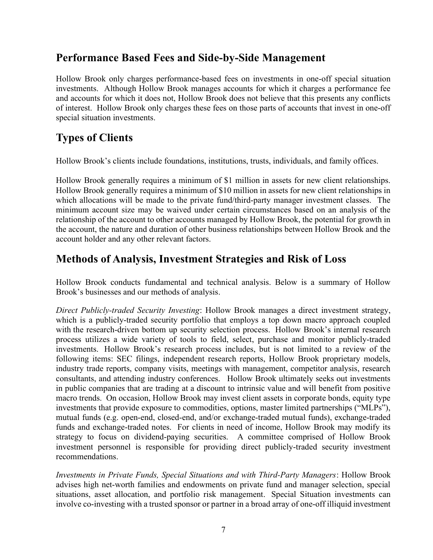### Performance Based Fees and Side-by-Side Management

Hollow Brook only charges performance-based fees on investments in one-off special situation investments. Although Hollow Brook manages accounts for which it charges a performance fee and accounts for which it does not, Hollow Brook does not believe that this presents any conflicts of interest. Hollow Brook only charges these fees on those parts of accounts that invest in one-off special situation investments.

# Types of Clients

Hollow Brook's clients include foundations, institutions, trusts, individuals, and family offices.

Hollow Brook generally requires a minimum of \$1 million in assets for new client relationships. Hollow Brook generally requires a minimum of \$10 million in assets for new client relationships in which allocations will be made to the private fund/third-party manager investment classes. The minimum account size may be waived under certain circumstances based on an analysis of the relationship of the account to other accounts managed by Hollow Brook, the potential for growth in the account, the nature and duration of other business relationships between Hollow Brook and the account holder and any other relevant factors.

### Methods of Analysis, Investment Strategies and Risk of Loss

Hollow Brook conducts fundamental and technical analysis. Below is a summary of Hollow Brook's businesses and our methods of analysis.

Direct Publicly-traded Security Investing: Hollow Brook manages a direct investment strategy, which is a publicly-traded security portfolio that employs a top down macro approach coupled with the research-driven bottom up security selection process. Hollow Brook's internal research process utilizes a wide variety of tools to field, select, purchase and monitor publicly-traded investments. Hollow Brook's research process includes, but is not limited to a review of the following items: SEC filings, independent research reports, Hollow Brook proprietary models, industry trade reports, company visits, meetings with management, competitor analysis, research consultants, and attending industry conferences. Hollow Brook ultimately seeks out investments in public companies that are trading at a discount to intrinsic value and will benefit from positive macro trends. On occasion, Hollow Brook may invest client assets in corporate bonds, equity type investments that provide exposure to commodities, options, master limited partnerships ("MLPs"), mutual funds (e.g. open-end, closed-end, and/or exchange-traded mutual funds), exchange-traded funds and exchange-traded notes. For clients in need of income, Hollow Brook may modify its strategy to focus on dividend-paying securities. A committee comprised of Hollow Brook investment personnel is responsible for providing direct publicly-traded security investment recommendations.

Investments in Private Funds, Special Situations and with Third-Party Managers: Hollow Brook advises high net-worth families and endowments on private fund and manager selection, special situations, asset allocation, and portfolio risk management. Special Situation investments can involve co-investing with a trusted sponsor or partner in a broad array of one-off illiquid investment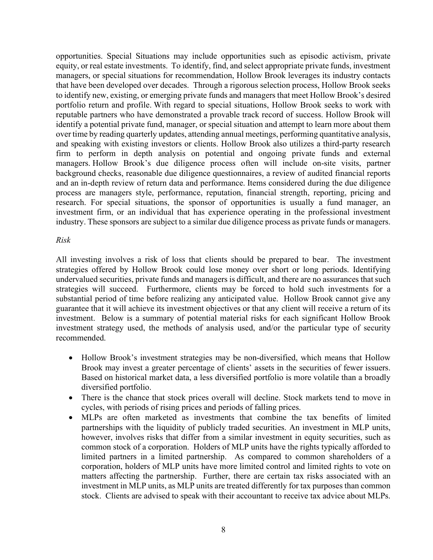opportunities. Special Situations may include opportunities such as episodic activism, private equity, or real estate investments. To identify, find, and select appropriate private funds, investment managers, or special situations for recommendation, Hollow Brook leverages its industry contacts that have been developed over decades. Through a rigorous selection process, Hollow Brook seeks to identify new, existing, or emerging private funds and managers that meet Hollow Brook's desired portfolio return and profile. With regard to special situations, Hollow Brook seeks to work with reputable partners who have demonstrated a provable track record of success. Hollow Brook will identify a potential private fund, manager, or special situation and attempt to learn more about them over time by reading quarterly updates, attending annual meetings, performing quantitative analysis, and speaking with existing investors or clients. Hollow Brook also utilizes a third-party research firm to perform in depth analysis on potential and ongoing private funds and external managers. Hollow Brook's due diligence process often will include on-site visits, partner background checks, reasonable due diligence questionnaires, a review of audited financial reports and an in-depth review of return data and performance. Items considered during the due diligence process are managers style, performance, reputation, financial strength, reporting, pricing and research. For special situations, the sponsor of opportunities is usually a fund manager, an investment firm, or an individual that has experience operating in the professional investment industry. These sponsors are subject to a similar due diligence process as private funds or managers.

#### Risk

All investing involves a risk of loss that clients should be prepared to bear. The investment strategies offered by Hollow Brook could lose money over short or long periods. Identifying undervalued securities, private funds and managers is difficult, and there are no assurances that such strategies will succeed. Furthermore, clients may be forced to hold such investments for a substantial period of time before realizing any anticipated value. Hollow Brook cannot give any guarantee that it will achieve its investment objectives or that any client will receive a return of its investment. Below is a summary of potential material risks for each significant Hollow Brook investment strategy used, the methods of analysis used, and/or the particular type of security recommended.

- Hollow Brook's investment strategies may be non-diversified, which means that Hollow Brook may invest a greater percentage of clients' assets in the securities of fewer issuers. Based on historical market data, a less diversified portfolio is more volatile than a broadly diversified portfolio.
- There is the chance that stock prices overall will decline. Stock markets tend to move in cycles, with periods of rising prices and periods of falling prices.
- MLPs are often marketed as investments that combine the tax benefits of limited partnerships with the liquidity of publicly traded securities. An investment in MLP units, however, involves risks that differ from a similar investment in equity securities, such as common stock of a corporation. Holders of MLP units have the rights typically afforded to limited partners in a limited partnership. As compared to common shareholders of a corporation, holders of MLP units have more limited control and limited rights to vote on matters affecting the partnership. Further, there are certain tax risks associated with an investment in MLP units, as MLP units are treated differently for tax purposes than common stock. Clients are advised to speak with their accountant to receive tax advice about MLPs.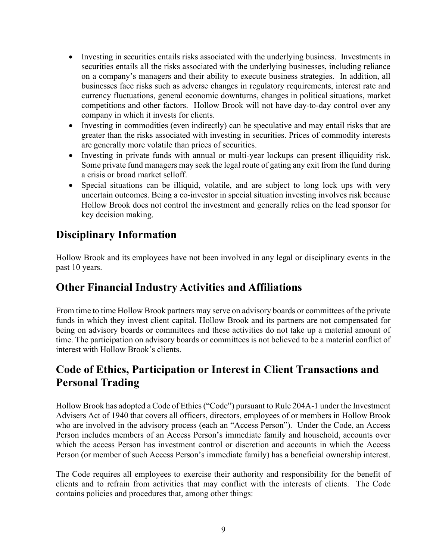- Investing in securities entails risks associated with the underlying business. Investments in securities entails all the risks associated with the underlying businesses, including reliance on a company's managers and their ability to execute business strategies. In addition, all businesses face risks such as adverse changes in regulatory requirements, interest rate and currency fluctuations, general economic downturns, changes in political situations, market competitions and other factors. Hollow Brook will not have day-to-day control over any company in which it invests for clients.
- Investing in commodities (even indirectly) can be speculative and may entail risks that are greater than the risks associated with investing in securities. Prices of commodity interests are generally more volatile than prices of securities.
- Investing in private funds with annual or multi-year lockups can present illiquidity risk. Some private fund managers may seek the legal route of gating any exit from the fund during a crisis or broad market selloff.
- Special situations can be illiquid, volatile, and are subject to long lock ups with very uncertain outcomes. Being a co-investor in special situation investing involves risk because Hollow Brook does not control the investment and generally relies on the lead sponsor for key decision making.

# Disciplinary Information

Hollow Brook and its employees have not been involved in any legal or disciplinary events in the past 10 years.

# Other Financial Industry Activities and Affiliations

From time to time Hollow Brook partners may serve on advisory boards or committees of the private funds in which they invest client capital. Hollow Brook and its partners are not compensated for being on advisory boards or committees and these activities do not take up a material amount of time. The participation on advisory boards or committees is not believed to be a material conflict of interest with Hollow Brook's clients.

# Code of Ethics, Participation or Interest in Client Transactions and Personal Trading

Hollow Brook has adopted a Code of Ethics ("Code") pursuant to Rule 204A-1 under the Investment Advisers Act of 1940 that covers all officers, directors, employees of or members in Hollow Brook who are involved in the advisory process (each an "Access Person"). Under the Code, an Access Person includes members of an Access Person's immediate family and household, accounts over which the access Person has investment control or discretion and accounts in which the Access Person (or member of such Access Person's immediate family) has a beneficial ownership interest.

The Code requires all employees to exercise their authority and responsibility for the benefit of clients and to refrain from activities that may conflict with the interests of clients. The Code contains policies and procedures that, among other things: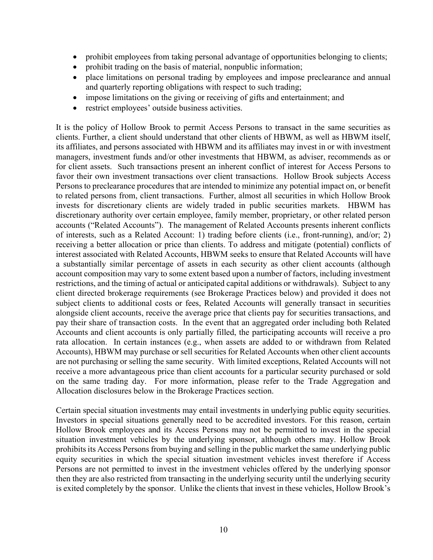- prohibit employees from taking personal advantage of opportunities belonging to clients;
- prohibit trading on the basis of material, nonpublic information;
- place limitations on personal trading by employees and impose preclearance and annual and quarterly reporting obligations with respect to such trading;
- impose limitations on the giving or receiving of gifts and entertainment; and
- restrict employees' outside business activities.

It is the policy of Hollow Brook to permit Access Persons to transact in the same securities as clients. Further, a client should understand that other clients of HBWM, as well as HBWM itself, its affiliates, and persons associated with HBWM and its affiliates may invest in or with investment managers, investment funds and/or other investments that HBWM, as adviser, recommends as or for client assets. Such transactions present an inherent conflict of interest for Access Persons to favor their own investment transactions over client transactions. Hollow Brook subjects Access Persons to preclearance procedures that are intended to minimize any potential impact on, or benefit to related persons from, client transactions. Further, almost all securities in which Hollow Brook invests for discretionary clients are widely traded in public securities markets. HBWM has discretionary authority over certain employee, family member, proprietary, or other related person accounts ("Related Accounts"). The management of Related Accounts presents inherent conflicts of interests, such as a Related Account: 1) trading before clients (i.e., front-running), and/or; 2) receiving a better allocation or price than clients. To address and mitigate (potential) conflicts of interest associated with Related Accounts, HBWM seeks to ensure that Related Accounts will have a substantially similar percentage of assets in each security as other client accounts (although account composition may vary to some extent based upon a number of factors, including investment restrictions, and the timing of actual or anticipated capital additions or withdrawals). Subject to any client directed brokerage requirements (see Brokerage Practices below) and provided it does not subject clients to additional costs or fees, Related Accounts will generally transact in securities alongside client accounts, receive the average price that clients pay for securities transactions, and pay their share of transaction costs. In the event that an aggregated order including both Related Accounts and client accounts is only partially filled, the participating accounts will receive a pro rata allocation. In certain instances (e.g., when assets are added to or withdrawn from Related Accounts), HBWM may purchase or sell securities for Related Accounts when other client accounts are not purchasing or selling the same security. With limited exceptions, Related Accounts will not receive a more advantageous price than client accounts for a particular security purchased or sold on the same trading day. For more information, please refer to the Trade Aggregation and Allocation disclosures below in the Brokerage Practices section.

Certain special situation investments may entail investments in underlying public equity securities. Investors in special situations generally need to be accredited investors. For this reason, certain Hollow Brook employees and its Access Persons may not be permitted to invest in the special situation investment vehicles by the underlying sponsor, although others may. Hollow Brook prohibits its Access Persons from buying and selling in the public market the same underlying public equity securities in which the special situation investment vehicles invest therefore if Access Persons are not permitted to invest in the investment vehicles offered by the underlying sponsor then they are also restricted from transacting in the underlying security until the underlying security is exited completely by the sponsor. Unlike the clients that invest in these vehicles, Hollow Brook's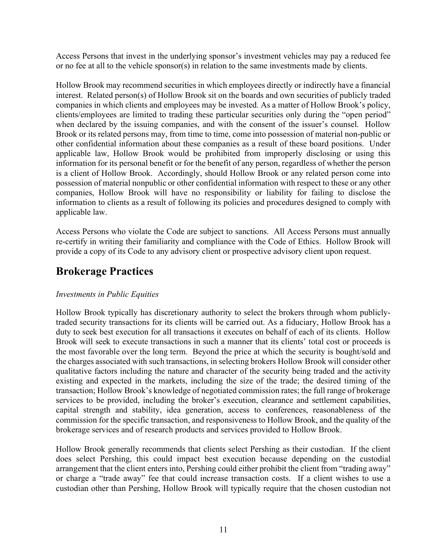Access Persons that invest in the underlying sponsor's investment vehicles may pay a reduced fee or no fee at all to the vehicle sponsor(s) in relation to the same investments made by clients.

Hollow Brook may recommend securities in which employees directly or indirectly have a financial interest. Related person(s) of Hollow Brook sit on the boards and own securities of publicly traded companies in which clients and employees may be invested. As a matter of Hollow Brook's policy, clients/employees are limited to trading these particular securities only during the "open period" when declared by the issuing companies, and with the consent of the issuer's counsel. Hollow Brook or its related persons may, from time to time, come into possession of material non-public or other confidential information about these companies as a result of these board positions. Under applicable law, Hollow Brook would be prohibited from improperly disclosing or using this information for its personal benefit or for the benefit of any person, regardless of whether the person is a client of Hollow Brook. Accordingly, should Hollow Brook or any related person come into possession of material nonpublic or other confidential information with respect to these or any other companies, Hollow Brook will have no responsibility or liability for failing to disclose the information to clients as a result of following its policies and procedures designed to comply with applicable law.

Access Persons who violate the Code are subject to sanctions. All Access Persons must annually re-certify in writing their familiarity and compliance with the Code of Ethics. Hollow Brook will provide a copy of its Code to any advisory client or prospective advisory client upon request.

### Brokerage Practices

### Investments in Public Equities

Hollow Brook typically has discretionary authority to select the brokers through whom publiclytraded security transactions for its clients will be carried out. As a fiduciary, Hollow Brook has a duty to seek best execution for all transactions it executes on behalf of each of its clients. Hollow Brook will seek to execute transactions in such a manner that its clients' total cost or proceeds is the most favorable over the long term. Beyond the price at which the security is bought/sold and the charges associated with such transactions, in selecting brokers Hollow Brook will consider other qualitative factors including the nature and character of the security being traded and the activity existing and expected in the markets, including the size of the trade; the desired timing of the transaction; Hollow Brook's knowledge of negotiated commission rates; the full range of brokerage services to be provided, including the broker's execution, clearance and settlement capabilities, capital strength and stability, idea generation, access to conferences, reasonableness of the commission for the specific transaction, and responsiveness to Hollow Brook, and the quality of the brokerage services and of research products and services provided to Hollow Brook.

Hollow Brook generally recommends that clients select Pershing as their custodian. If the client does select Pershing, this could impact best execution because depending on the custodial arrangement that the client enters into, Pershing could either prohibit the client from "trading away" or charge a "trade away" fee that could increase transaction costs. If a client wishes to use a custodian other than Pershing, Hollow Brook will typically require that the chosen custodian not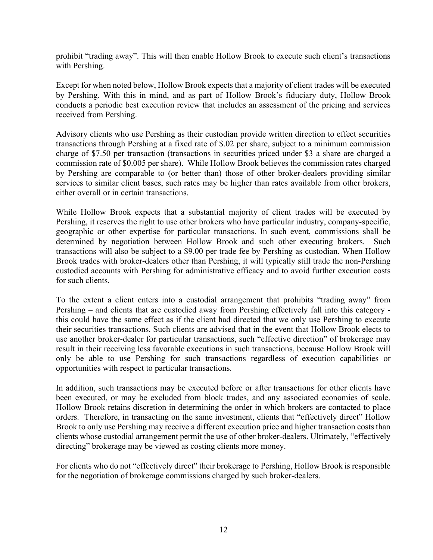prohibit "trading away". This will then enable Hollow Brook to execute such client's transactions with Pershing.

Except for when noted below, Hollow Brook expects that a majority of client trades will be executed by Pershing. With this in mind, and as part of Hollow Brook's fiduciary duty, Hollow Brook conducts a periodic best execution review that includes an assessment of the pricing and services received from Pershing.

Advisory clients who use Pershing as their custodian provide written direction to effect securities transactions through Pershing at a fixed rate of \$.02 per share, subject to a minimum commission charge of \$7.50 per transaction (transactions in securities priced under \$3 a share are charged a commission rate of \$0.005 per share). While Hollow Brook believes the commission rates charged by Pershing are comparable to (or better than) those of other broker-dealers providing similar services to similar client bases, such rates may be higher than rates available from other brokers, either overall or in certain transactions.

While Hollow Brook expects that a substantial majority of client trades will be executed by Pershing, it reserves the right to use other brokers who have particular industry, company-specific, geographic or other expertise for particular transactions. In such event, commissions shall be determined by negotiation between Hollow Brook and such other executing brokers. Such transactions will also be subject to a \$9.00 per trade fee by Pershing as custodian. When Hollow Brook trades with broker-dealers other than Pershing, it will typically still trade the non-Pershing custodied accounts with Pershing for administrative efficacy and to avoid further execution costs for such clients.

To the extent a client enters into a custodial arrangement that prohibits "trading away" from Pershing – and clients that are custodied away from Pershing effectively fall into this category this could have the same effect as if the client had directed that we only use Pershing to execute their securities transactions. Such clients are advised that in the event that Hollow Brook elects to use another broker-dealer for particular transactions, such "effective direction" of brokerage may result in their receiving less favorable executions in such transactions, because Hollow Brook will only be able to use Pershing for such transactions regardless of execution capabilities or opportunities with respect to particular transactions.

In addition, such transactions may be executed before or after transactions for other clients have been executed, or may be excluded from block trades, and any associated economies of scale. Hollow Brook retains discretion in determining the order in which brokers are contacted to place orders. Therefore, in transacting on the same investment, clients that "effectively direct" Hollow Brook to only use Pershing may receive a different execution price and higher transaction costs than clients whose custodial arrangement permit the use of other broker-dealers. Ultimately, "effectively directing" brokerage may be viewed as costing clients more money.

For clients who do not "effectively direct" their brokerage to Pershing, Hollow Brook is responsible for the negotiation of brokerage commissions charged by such broker-dealers.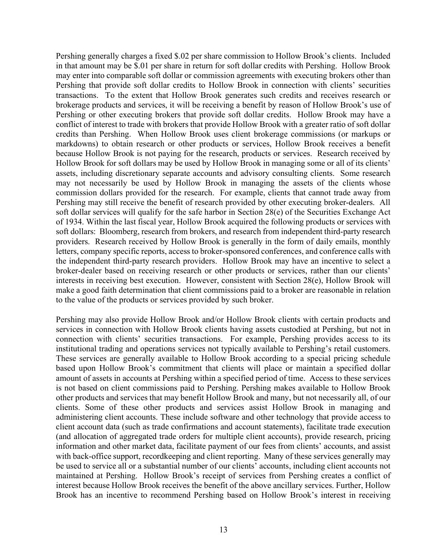Pershing generally charges a fixed \$.02 per share commission to Hollow Brook's clients. Included in that amount may be \$.01 per share in return for soft dollar credits with Pershing. Hollow Brook may enter into comparable soft dollar or commission agreements with executing brokers other than Pershing that provide soft dollar credits to Hollow Brook in connection with clients' securities transactions. To the extent that Hollow Brook generates such credits and receives research or brokerage products and services, it will be receiving a benefit by reason of Hollow Brook's use of Pershing or other executing brokers that provide soft dollar credits. Hollow Brook may have a conflict of interest to trade with brokers that provide Hollow Brook with a greater ratio of soft dollar credits than Pershing. When Hollow Brook uses client brokerage commissions (or markups or markdowns) to obtain research or other products or services, Hollow Brook receives a benefit because Hollow Brook is not paying for the research, products or services. Research received by Hollow Brook for soft dollars may be used by Hollow Brook in managing some or all of its clients' assets, including discretionary separate accounts and advisory consulting clients. Some research may not necessarily be used by Hollow Brook in managing the assets of the clients whose commission dollars provided for the research. For example, clients that cannot trade away from Pershing may still receive the benefit of research provided by other executing broker-dealers. All soft dollar services will qualify for the safe harbor in Section 28(e) of the Securities Exchange Act of 1934. Within the last fiscal year, Hollow Brook acquired the following products or services with soft dollars: Bloomberg, research from brokers, and research from independent third-party research providers. Research received by Hollow Brook is generally in the form of daily emails, monthly letters, company specific reports, access to broker-sponsored conferences, and conference calls with the independent third-party research providers. Hollow Brook may have an incentive to select a broker-dealer based on receiving research or other products or services, rather than our clients' interests in receiving best execution. However, consistent with Section 28(e), Hollow Brook will make a good faith determination that client commissions paid to a broker are reasonable in relation to the value of the products or services provided by such broker.

Pershing may also provide Hollow Brook and/or Hollow Brook clients with certain products and services in connection with Hollow Brook clients having assets custodied at Pershing, but not in connection with clients' securities transactions. For example, Pershing provides access to its institutional trading and operations services not typically available to Pershing's retail customers. These services are generally available to Hollow Brook according to a special pricing schedule based upon Hollow Brook's commitment that clients will place or maintain a specified dollar amount of assets in accounts at Pershing within a specified period of time. Access to these services is not based on client commissions paid to Pershing. Pershing makes available to Hollow Brook other products and services that may benefit Hollow Brook and many, but not necessarily all, of our clients. Some of these other products and services assist Hollow Brook in managing and administering client accounts. These include software and other technology that provide access to client account data (such as trade confirmations and account statements), facilitate trade execution (and allocation of aggregated trade orders for multiple client accounts), provide research, pricing information and other market data, facilitate payment of our fees from clients' accounts, and assist with back-office support, recordkeeping and client reporting. Many of these services generally may be used to service all or a substantial number of our clients' accounts, including client accounts not maintained at Pershing. Hollow Brook's receipt of services from Pershing creates a conflict of interest because Hollow Brook receives the benefit of the above ancillary services. Further, Hollow Brook has an incentive to recommend Pershing based on Hollow Brook's interest in receiving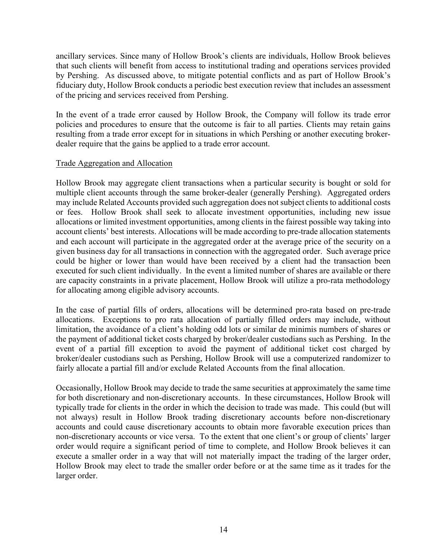ancillary services. Since many of Hollow Brook's clients are individuals, Hollow Brook believes that such clients will benefit from access to institutional trading and operations services provided by Pershing. As discussed above, to mitigate potential conflicts and as part of Hollow Brook's fiduciary duty, Hollow Brook conducts a periodic best execution review that includes an assessment of the pricing and services received from Pershing.

In the event of a trade error caused by Hollow Brook, the Company will follow its trade error policies and procedures to ensure that the outcome is fair to all parties. Clients may retain gains resulting from a trade error except for in situations in which Pershing or another executing brokerdealer require that the gains be applied to a trade error account.

#### Trade Aggregation and Allocation

Hollow Brook may aggregate client transactions when a particular security is bought or sold for multiple client accounts through the same broker-dealer (generally Pershing). Aggregated orders may include Related Accounts provided such aggregation does not subject clients to additional costs or fees. Hollow Brook shall seek to allocate investment opportunities, including new issue allocations or limited investment opportunities, among clients in the fairest possible way taking into account clients' best interests. Allocations will be made according to pre-trade allocation statements and each account will participate in the aggregated order at the average price of the security on a given business day for all transactions in connection with the aggregated order. Such average price could be higher or lower than would have been received by a client had the transaction been executed for such client individually. In the event a limited number of shares are available or there are capacity constraints in a private placement, Hollow Brook will utilize a pro-rata methodology for allocating among eligible advisory accounts.

In the case of partial fills of orders, allocations will be determined pro-rata based on pre-trade allocations. Exceptions to pro rata allocation of partially filled orders may include, without limitation, the avoidance of a client's holding odd lots or similar de minimis numbers of shares or the payment of additional ticket costs charged by broker/dealer custodians such as Pershing. In the event of a partial fill exception to avoid the payment of additional ticket cost charged by broker/dealer custodians such as Pershing, Hollow Brook will use a computerized randomizer to fairly allocate a partial fill and/or exclude Related Accounts from the final allocation.

Occasionally, Hollow Brook may decide to trade the same securities at approximately the same time for both discretionary and non-discretionary accounts. In these circumstances, Hollow Brook will typically trade for clients in the order in which the decision to trade was made. This could (but will not always) result in Hollow Brook trading discretionary accounts before non-discretionary accounts and could cause discretionary accounts to obtain more favorable execution prices than non-discretionary accounts or vice versa. To the extent that one client's or group of clients' larger order would require a significant period of time to complete, and Hollow Brook believes it can execute a smaller order in a way that will not materially impact the trading of the larger order, Hollow Brook may elect to trade the smaller order before or at the same time as it trades for the larger order.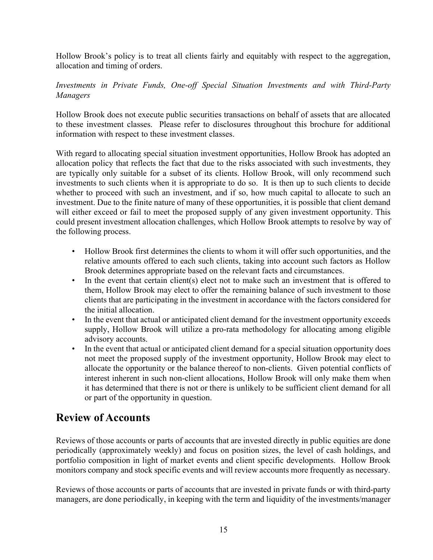Hollow Brook's policy is to treat all clients fairly and equitably with respect to the aggregation, allocation and timing of orders.

### Investments in Private Funds, One-off Special Situation Investments and with Third-Party Managers

Hollow Brook does not execute public securities transactions on behalf of assets that are allocated to these investment classes. Please refer to disclosures throughout this brochure for additional information with respect to these investment classes.

With regard to allocating special situation investment opportunities, Hollow Brook has adopted an allocation policy that reflects the fact that due to the risks associated with such investments, they are typically only suitable for a subset of its clients. Hollow Brook, will only recommend such investments to such clients when it is appropriate to do so. It is then up to such clients to decide whether to proceed with such an investment, and if so, how much capital to allocate to such an investment. Due to the finite nature of many of these opportunities, it is possible that client demand will either exceed or fail to meet the proposed supply of any given investment opportunity. This could present investment allocation challenges, which Hollow Brook attempts to resolve by way of the following process.

- Hollow Brook first determines the clients to whom it will offer such opportunities, and the relative amounts offered to each such clients, taking into account such factors as Hollow Brook determines appropriate based on the relevant facts and circumstances.
- In the event that certain client(s) elect not to make such an investment that is offered to them, Hollow Brook may elect to offer the remaining balance of such investment to those clients that are participating in the investment in accordance with the factors considered for the initial allocation.
- In the event that actual or anticipated client demand for the investment opportunity exceeds supply, Hollow Brook will utilize a pro-rata methodology for allocating among eligible advisory accounts.
- In the event that actual or anticipated client demand for a special situation opportunity does not meet the proposed supply of the investment opportunity, Hollow Brook may elect to allocate the opportunity or the balance thereof to non-clients. Given potential conflicts of interest inherent in such non-client allocations, Hollow Brook will only make them when it has determined that there is not or there is unlikely to be sufficient client demand for all or part of the opportunity in question.

# Review of Accounts

Reviews of those accounts or parts of accounts that are invested directly in public equities are done periodically (approximately weekly) and focus on position sizes, the level of cash holdings, and portfolio composition in light of market events and client specific developments. Hollow Brook monitors company and stock specific events and will review accounts more frequently as necessary.

Reviews of those accounts or parts of accounts that are invested in private funds or with third-party managers, are done periodically, in keeping with the term and liquidity of the investments/manager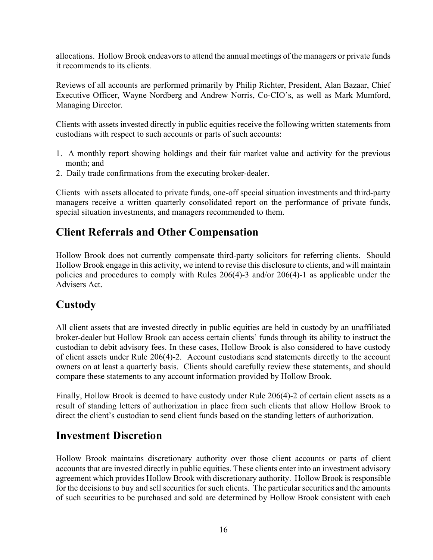allocations. Hollow Brook endeavors to attend the annual meetings of the managers or private funds it recommends to its clients.

Reviews of all accounts are performed primarily by Philip Richter, President, Alan Bazaar, Chief Executive Officer, Wayne Nordberg and Andrew Norris, Co-CIO's, as well as Mark Mumford, Managing Director.

Clients with assets invested directly in public equities receive the following written statements from custodians with respect to such accounts or parts of such accounts:

- 1. A monthly report showing holdings and their fair market value and activity for the previous month; and
- 2. Daily trade confirmations from the executing broker-dealer.

Clients with assets allocated to private funds, one-off special situation investments and third-party managers receive a written quarterly consolidated report on the performance of private funds, special situation investments, and managers recommended to them.

### Client Referrals and Other Compensation

Hollow Brook does not currently compensate third-party solicitors for referring clients. Should Hollow Brook engage in this activity, we intend to revise this disclosure to clients, and will maintain policies and procedures to comply with Rules 206(4)-3 and/or 206(4)-1 as applicable under the Advisers Act.

# Custody

All client assets that are invested directly in public equities are held in custody by an unaffiliated broker-dealer but Hollow Brook can access certain clients' funds through its ability to instruct the custodian to debit advisory fees. In these cases, Hollow Brook is also considered to have custody of client assets under Rule 206(4)-2. Account custodians send statements directly to the account owners on at least a quarterly basis. Clients should carefully review these statements, and should compare these statements to any account information provided by Hollow Brook.

Finally, Hollow Brook is deemed to have custody under Rule 206(4)-2 of certain client assets as a result of standing letters of authorization in place from such clients that allow Hollow Brook to direct the client's custodian to send client funds based on the standing letters of authorization.

### Investment Discretion

Hollow Brook maintains discretionary authority over those client accounts or parts of client accounts that are invested directly in public equities. These clients enter into an investment advisory agreement which provides Hollow Brook with discretionary authority. Hollow Brook is responsible for the decisions to buy and sell securities for such clients. The particular securities and the amounts of such securities to be purchased and sold are determined by Hollow Brook consistent with each